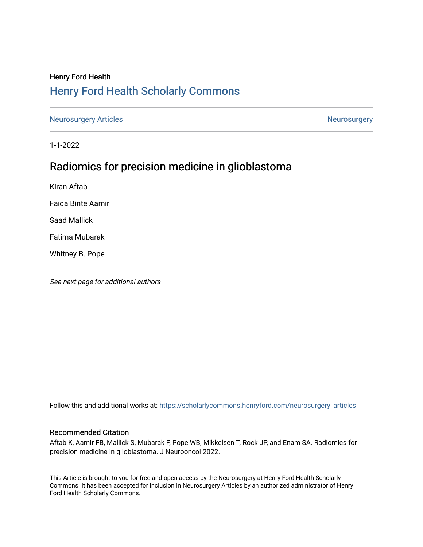# Henry Ford Health [Henry Ford Health Scholarly Commons](https://scholarlycommons.henryford.com/)

[Neurosurgery Articles](https://scholarlycommons.henryford.com/neurosurgery_articles) **Neurosurgery** Neurosurgery

1-1-2022

# Radiomics for precision medicine in glioblastoma

Kiran Aftab

Faiqa Binte Aamir

Saad Mallick

Fatima Mubarak

Whitney B. Pope

See next page for additional authors

Follow this and additional works at: [https://scholarlycommons.henryford.com/neurosurgery\\_articles](https://scholarlycommons.henryford.com/neurosurgery_articles?utm_source=scholarlycommons.henryford.com%2Fneurosurgery_articles%2F439&utm_medium=PDF&utm_campaign=PDFCoverPages) 

# Recommended Citation

Aftab K, Aamir FB, Mallick S, Mubarak F, Pope WB, Mikkelsen T, Rock JP, and Enam SA. Radiomics for precision medicine in glioblastoma. J Neurooncol 2022.

This Article is brought to you for free and open access by the Neurosurgery at Henry Ford Health Scholarly Commons. It has been accepted for inclusion in Neurosurgery Articles by an authorized administrator of Henry Ford Health Scholarly Commons.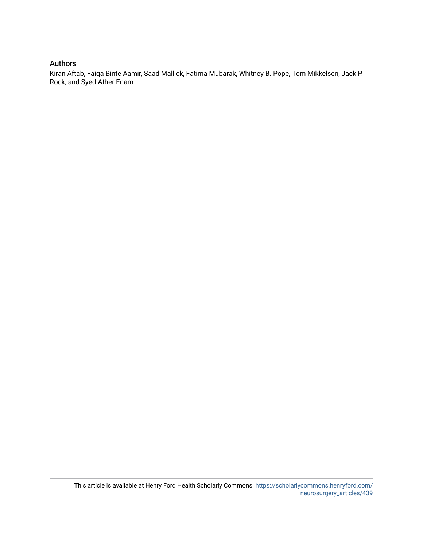# Authors

Kiran Aftab, Faiqa Binte Aamir, Saad Mallick, Fatima Mubarak, Whitney B. Pope, Tom Mikkelsen, Jack P. Rock, and Syed Ather Enam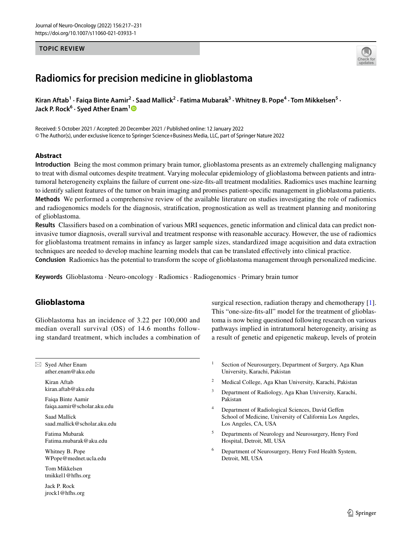## **TOPIC REVIEW**



# **Radiomics for precision medicine in glioblastoma**

Kiran Aftab<sup>1</sup> · Faiqa Binte Aamir<sup>2</sup> · Saad Mallick<sup>2</sup> · Fatima Mubarak<sup>3</sup> · Whitney B. Pope<sup>4</sup> · Tom Mikkelsen<sup>5</sup> · **Jack P. Rock6 · Syed Ather Enam[1](http://orcid.org/0000-0003-2194-0723)**

Received: 5 October 2021 / Accepted: 20 December 2021 / Published online: 12 January 2022 © The Author(s), under exclusive licence to Springer Science+Business Media, LLC, part of Springer Nature 2022

## **Abstract**

**Introduction** Being the most common primary brain tumor, glioblastoma presents as an extremely challenging malignancy to treat with dismal outcomes despite treatment. Varying molecular epidemiology of glioblastoma between patients and intratumoral heterogeneity explains the failure of current one-size-fts-all treatment modalities. Radiomics uses machine learning to identify salient features of the tumor on brain imaging and promises patient-specifc management in glioblastoma patients. **Methods** We performed a comprehensive review of the available literature on studies investigating the role of radiomics and radiogenomics models for the diagnosis, stratifcation, prognostication as well as treatment planning and monitoring of glioblastoma.

**Results** Classifers based on a combination of various MRI sequences, genetic information and clinical data can predict noninvasive tumor diagnosis, overall survival and treatment response with reasonable accuracy. However, the use of radiomics for glioblastoma treatment remains in infancy as larger sample sizes, standardized image acquisition and data extraction techniques are needed to develop machine learning models that can be translated efectively into clinical practice.

**Conclusion** Radiomics has the potential to transform the scope of glioblastoma management through personalized medicine.

**Keywords** Glioblastoma · Neuro-oncology · Radiomics · Radiogenomics · Primary brain tumor

# **Glioblastoma**

Glioblastoma has an incidence of 3.22 per 100,000 and median overall survival (OS) of 14.6 months following standard treatment, which includes a combination of

 $\boxtimes$  Syed Ather Enam ather.enam@aku.edu

> Kiran Aftab kiran.aftab@aku.edu

Faiqa Binte Aamir faiqa.aamir@scholar.aku.edu

Saad Mallick saad.mallick@scholar.aku.edu

Fatima Mubarak Fatima.mubarak@aku.edu

Whitney B. Pope WPope@mednet.ucla.edu

Tom Mikkelsen tmikkel1@hfhs.org

Jack P. Rock jrock1@hfhs.org surgical resection, radiation therapy and chemotherapy [\[1](#page-13-0)]. This "one-size-fts-all" model for the treatment of glioblastoma is now being questioned following research on various pathways implied in intratumoral heterogeneity, arising as a result of genetic and epigenetic makeup, levels of protein

- <sup>1</sup> Section of Neurosurgery, Department of Surgery, Aga Khan University, Karachi, Pakistan
- <sup>2</sup> Medical College, Aga Khan University, Karachi, Pakistan
- <sup>3</sup> Department of Radiology, Aga Khan University, Karachi, Pakistan
- Department of Radiological Sciences, David Geffen School of Medicine, University of California Los Angeles, Los Angeles, CA, USA
- <sup>5</sup> Departments of Neurology and Neurosurgery, Henry Ford Hospital, Detroit, MI, USA
- Department of Neurosurgery, Henry Ford Health System, Detroit, MI, USA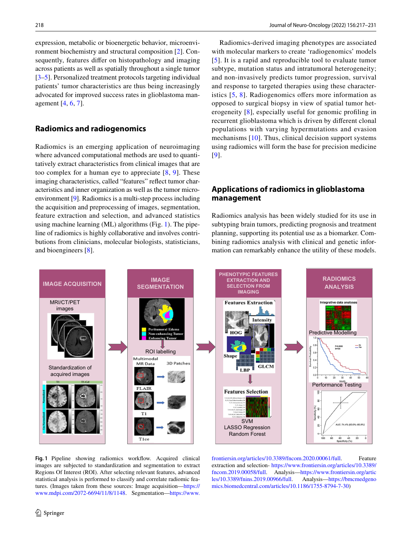expression, metabolic or bioenergetic behavior, microenvironment biochemistry and structural composition [[2\]](#page-13-1). Consequently, features differ on histopathology and imaging across patients as well as spatially throughout a single tumor [\[3](#page-13-2)[–5](#page-13-3)]. Personalized treatment protocols targeting individual patients' tumor characteristics are thus being increasingly advocated for improved success rates in glioblastoma management [[4,](#page-13-4) [6,](#page-14-0) [7](#page-14-1)].

# **Radiomics and radiogenomics**

Radiomics is an emerging application of neuroimaging where advanced computational methods are used to quantitatively extract characteristics from clinical images that are too complex for a human eye to appreciate  $[8, 9]$  $[8, 9]$  $[8, 9]$  $[8, 9]$  $[8, 9]$ . These imaging characteristics, called "features" refect tumor characteristics and inner organization as well as the tumor microenvironment [[9\]](#page-14-3). Radiomics is a multi-step process including the acquisition and preprocessing of images, segmentation, feature extraction and selection, and advanced statistics using machine learning (ML) algorithms (Fig. [1\)](#page-3-0). The pipeline of radiomics is highly collaborative and involves contributions from clinicians, molecular biologists, statisticians, and bioengineers [[8\]](#page-14-2).

Radiomics-derived imaging phenotypes are associated with molecular markers to create 'radiogenomics' models [[5\]](#page-13-3). It is a rapid and reproducible tool to evaluate tumor subtype, mutation status and intratumoral heterogeneity; and non-invasively predicts tumor progression, survival and response to targeted therapies using these characteristics  $[5, 8]$  $[5, 8]$  $[5, 8]$  $[5, 8]$ . Radiogenomics offers more information as opposed to surgical biopsy in view of spatial tumor heterogeneity [[8\]](#page-14-2), especially useful for genomic profling in recurrent glioblastoma which is driven by diferent clonal populations with varying hypermutations and evasion mechanisms [[10](#page-14-4)]. Thus, clinical decision support systems using radiomics will form the base for precision medicine [[9\]](#page-14-3).

# **Applications of radiomics in glioblastoma management**

Radiomics analysis has been widely studied for its use in subtyping brain tumors, predicting prognosis and treatment planning, supporting its potential use as a biomarker. Combining radiomics analysis with clinical and genetic information can remarkably enhance the utility of these models.



<span id="page-3-0"></span>Fig. 1 Pipeline showing radiomics workflow. Acquired clinical images are subjected to standardization and segmentation to extract Regions Of Interest (ROI). After selecting relevant features, advanced statistical analysis is performed to classify and correlate radiomic features. (Images taken from these sources: Image acquisition—[https://](https://www.mdpi.com/2072-6694/11/8/1148) [www.mdpi.com/2072-6694/11/8/1148](https://www.mdpi.com/2072-6694/11/8/1148). Segmentation—[https://www.](https://www.frontiersin.org/articles/10.3389/fncom.2020.00061/full)

[frontiersin.org/articles/10.3389/fncom.2020.00061/full.](https://www.frontiersin.org/articles/10.3389/fncom.2020.00061/full) Feature extraction and selection- [https://www.frontiersin.org/articles/10.3389/](https://www.frontiersin.org/articles/10.3389/fncom.2019.00058/full) [fncom.2019.00058/full.](https://www.frontiersin.org/articles/10.3389/fncom.2019.00058/full) Analysis[—https://www.frontiersin.org/artic](https://www.frontiersin.org/articles/10.3389/fnins.2019.00966/full) [les/10.3389/fnins.2019.00966/full.](https://www.frontiersin.org/articles/10.3389/fnins.2019.00966/full) [mics.biomedcentral.com/articles/10.1186/1755-8794-7-30](https://bmcmedgenomics.biomedcentral.com/articles/10.1186/1755-8794-7-30))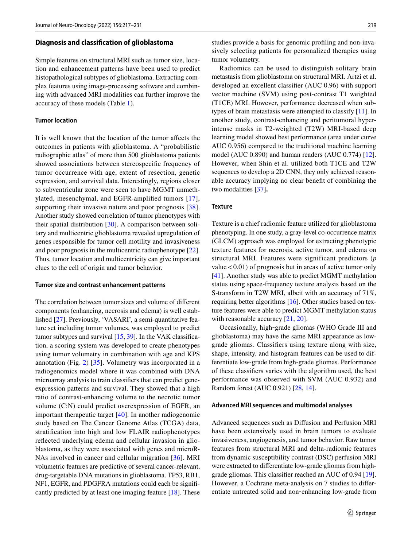#### **Diagnosis and classifcation of glioblastoma**

Simple features on structural MRI such as tumor size, location and enhancement patterns have been used to predict histopathological subtypes of glioblastoma. Extracting complex features using image-processing software and combining with advanced MRI modalities can further improve the accuracy of these models (Table [1\)](#page-5-0).

## **Tumor location**

It is well known that the location of the tumor afects the outcomes in patients with glioblastoma. A "probabilistic radiographic atlas" of more than 500 glioblastoma patients showed associations between stereospecifc frequency of tumor occurrence with age, extent of resection, genetic expression, and survival data. Interestingly, regions closer to subventricular zone were seen to have MGMT unmethylated, mesenchymal, and EGFR-amplifed tumors [[17\]](#page-14-5), supporting their invasive nature and poor prognosis [[38](#page-14-6)]. Another study showed correlation of tumor phenotypes with their spatial distribution [\[30](#page-14-7)]. A comparison between solitary and multicentric glioblastoma revealed upregulation of genes responsible for tumor cell motility and invasiveness and poor prognosis in the multicentric radiophenotype [\[22](#page-14-8)]. Thus, tumor location and multicentricity can give important clues to the cell of origin and tumor behavior.

#### **Tumor size and contrast enhancement patterns**

The correlation between tumor sizes and volume of diferent components (enhancing, necrosis and edema) is well established [\[27](#page-14-9)]. Previously, 'VASARI', a semi-quantitative feature set including tumor volumes, was employed to predict tumor subtypes and survival  $[15, 39]$  $[15, 39]$  $[15, 39]$  $[15, 39]$ . In the VAK classification, a scoring system was developed to create phenotypes using tumor volumetry in combination with age and KPS annotation (Fig. [2\)](#page-7-0) [[35\]](#page-14-11). Volumetry was incorporated in a radiogenomics model where it was combined with DNA microarray analysis to train classifers that can predict geneexpression patterns and survival. They showed that a high ratio of contrast-enhancing volume to the necrotic tumor volume (C:N) could predict overexpression of EGFR, an important therapeutic target [\[40\]](#page-15-1). In another radiogenomic study based on The Cancer Genome Atlas (TCGA) data, stratifcation into high and low FLAIR radiophenotypes refected underlying edema and cellular invasion in glioblastoma, as they were associated with genes and microR-NAs involved in cancer and cellular migration [[36\]](#page-14-12). MRI volumetric features are predictive of several cancer-relevant, drug-targetable DNA mutations in glioblastoma. TP53, RB1, NF1, EGFR, and PDGFRA mutations could each be signifcantly predicted by at least one imaging feature [[18\]](#page-14-13). These studies provide a basis for genomic profling and non-invasively selecting patients for personalized therapies using tumor volumetry.

Radiomics can be used to distinguish solitary brain metastasis from glioblastoma on structural MRI. Artzi et al. developed an excellent classifer (AUC 0.96) with support vector machine (SVM) using post-contrast T1 weighted (T1CE) MRI. However, performance decreased when subtypes of brain metastasis were attempted to classify [[11\]](#page-14-14). In another study, contrast-enhancing and peritumoral hyperintense masks in T2-weighted (T2W) MRI-based deep learning model showed best performance (area under curve AUC 0.956) compared to the traditional machine learning model (AUC 0.890) and human readers (AUC 0.774) [\[12](#page-14-15)]. However, when Shin et al. utilized both T1CE and T2W sequences to develop a 2D CNN, they only achieved reasonable accuracy implying no clear beneft of combining the two modalities [\[37\]](#page-14-16)**.**

#### **Texture**

Texture is a chief radiomic feature utilized for glioblastoma phenotyping. In one study, a gray-level co-occurrence matrix (GLCM) approach was employed for extracting phenotypic texture features for necrosis, active tumor, and edema on structural MRI. Features were significant predictors (*p* value  $< 0.01$ ) of prognosis but in areas of active tumor only [\[41\]](#page-15-2). Another study was able to predict MGMT methylation status using space-frequency texture analysis based on the S-transform in T2W MRI, albeit with an accuracy of 71%, requiring better algorithms [[16\]](#page-14-17). Other studies based on texture features were able to predict MGMT methylation status with reasonable accuracy [[21](#page-14-18), [20](#page-14-19)].

Occasionally, high‐grade gliomas (WHO Grade III and glioblastoma) may have the same MRI appearance as lowgrade gliomas. Classifers using texture along with size, shape, intensity, and histogram features can be used to differentiate low-grade from high-grade gliomas. Performance of these classifers varies with the algorithm used, the best performance was observed with SVM (AUC 0.932) and Random forest (AUC 0.921) [\[28,](#page-14-20) [14\]](#page-14-21).

#### **Advanced MRI sequences and multimodal analyses**

Advanced sequences such as Difusion and Perfusion MRI have been extensively used in brain tumors to evaluate invasiveness, angiogenesis, and tumor behavior. Raw tumor features from structural MRI and delta-radiomic features from dynamic susceptibility contrast (DSC) perfusion MRI were extracted to diferentiate low-grade gliomas from highgrade gliomas. This classifer reached an AUC of 0.94 [\[19](#page-14-22)]. However, a Cochrane meta-analysis on 7 studies to diferentiate untreated solid and non‐enhancing low-grade from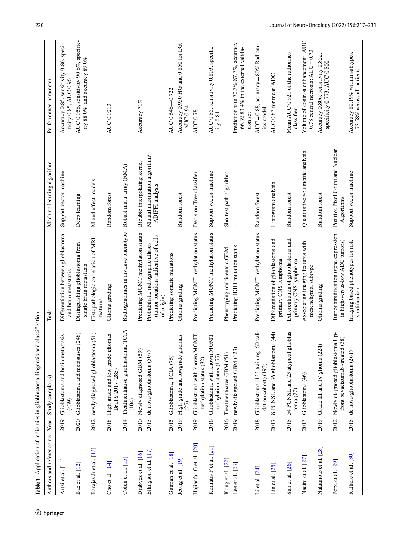<span id="page-5-0"></span>

| Authors and reference no                     | Year         | Study sample $(n)$                                                  | Task                                                                                                                           | Machine learning algorithm                                                              | Performance parameter                                                                       |
|----------------------------------------------|--------------|---------------------------------------------------------------------|--------------------------------------------------------------------------------------------------------------------------------|-----------------------------------------------------------------------------------------|---------------------------------------------------------------------------------------------|
| Artzi et al. [11]                            | 2019         | Glioblastoma and brain metastasis<br>(439)                          | Differentiation between glioblastoma<br>and brain metastasis                                                                   | Support vector machine                                                                  | Accuracy 0.85, sensitivity 0.86, speci-<br>ficity 0.85, AUC 0.96                            |
| Bae et al. [12]                              | 2020         | (248)<br>Glioblastoma and metastases                                | Distinguishing glioblastoma from<br>single brain metastasis                                                                    | Deep learning                                                                           | AUC 0.956, sensitivity 90.6%, specific-<br>ity 88.0%, and accuracy 89.0%                    |
| Barajas Jr et al. [13]                       | 2012         | newly diagnosed glioblastoma (51)                                   | Histopathologic correlation of MRI<br>features                                                                                 | Mixed effect models                                                                     |                                                                                             |
| Cho et al. [14]                              | 2018         | High grade and low grade gliomas,<br>BraTS 2017 (285)               | Glioma grading                                                                                                                 | Random forest                                                                           | AUC 0.9213                                                                                  |
| Colen et al. $[15]$                          | 2014         | TCIA<br>Treatmentnaïve glioblastoma,<br>(104)                       | Radiogenomics in invasive phenotype                                                                                            | Robust multi-array (RMA)                                                                |                                                                                             |
| Ellingson et al. [17]<br>Drabycz et al. [16] | 2010<br>2013 | Newly diagnosed GBM (59)<br>de novo glioblastoma (507)              | Predicting MGMT methylation status<br>(tumor locations indicative of cells<br>Probabilistic radiographic atlases<br>of origin) | Mutual information algorithm/<br>Bicubic interpolating kernel<br><b>ADIFFI</b> analysis | Accuracy 71%                                                                                |
| Gutman et al. [18]                           | 2015         | Glioblastoma, TCIA (76)                                             | Predicting somatic mutations                                                                                                   |                                                                                         | AUC 0.646-0.722                                                                             |
| Jeong et al. [19]                            | 2019         | High-grade and lowgrade gliomas<br>(25)                             | Glioma grading                                                                                                                 | Random forest                                                                           | Accuracy 0.950 HG and 0.850 for LG;<br>AUC 0.94                                             |
| Hajianfar G et al. [20]                      | 2019         | Glioblastoma with known MGMT<br>methylation status (82)             | Predicting MGMT methylation status                                                                                             | Decision Tree classifier                                                                | <b>AUC 0.78</b>                                                                             |
| Korfiatis P et al. [21]                      | 2016         | Glioblastoma with known MGMT<br>methylation status (155)            | Predicting MGMT methylation status                                                                                             | Support vector machine                                                                  | AUC 0.85, sensitivity 0.803, specific-<br>ity 0.81                                          |
| Kong et al. [22]                             | 2016         | Treatmentnaïve GBM (51)                                             | Phenotyping multicentric GBM                                                                                                   | Shortest path algorithm                                                                 |                                                                                             |
| Lee et al. [23]                              | 2019         | newly diagnosed GBM (123)                                           | Predicting IDH1 mutation status                                                                                                |                                                                                         | Prediction rate 70.3%-87.3%, accuracy<br>$66.3\%83.4\%$ in the external valida-<br>tion set |
| Li et al. [24]                               | 2018         | Glioblastoma (133 training, 60 vali-<br>dation cohort) (193)        | Predicting MGMT methylation status                                                                                             | Random forest                                                                           | AUC = 0.88, accuracy = $80\%$ Radiom-<br>ics model                                          |
| Lin et al. [25]                              | 2017         | 8 PCNSL and 36 glioblastoma (44)                                    | Differentiation of glioblastoma and<br>prinary CNS lymphoma                                                                    | Histogram analysis                                                                      | AUC 0.83 for mean ADC                                                                       |
| Suh et al. [26]                              | 2018         | ioblas-<br>54 PCNSL and 23 atypical gl<br>toma $(77)$               | Differentiation of glioblastoma and<br>primary CNS lymphoma                                                                    | Random forest                                                                           | Mean AUC 0.921 of the radiomics<br>classifier                                               |
| Naeini et al. [27]                           | 2013         | Glioblastoma (46)                                                   | Associating imaging features with<br>mesenchymal subtype                                                                       | Quantitative volumetric analysis                                                        | Volume of contrast enhancement: AUC<br>0.78 central necrosis: $AUC = 0.73$                  |
| Nakamoto et al. [28]                         | 2019         | Grade III and IV glioma (224)                                       | Glioma grading                                                                                                                 | Random forest                                                                           | Accuracy 0.806, sensitivity 0.822,<br>specificity 0.773, AUC 0.800                          |
| Pope et al. [29]                             | 2012         | Newly diagnosed glioblastoma Up-<br>front bevacizumab -treated (38) | Tumor stratification (gene expression<br>in high-versus-low ADC tumors)                                                        | Positive Pixel Count and Nuclear<br>Algorithms                                          |                                                                                             |
| Rathore et al. [30]                          | 2018         | de novo glioblastoma (261)                                          | Imaging based phenotypes for risk-<br>stratification                                                                           | Support vector machine                                                                  | Accuracy 80.19% within subtypes,<br>73.58% across all patients                              |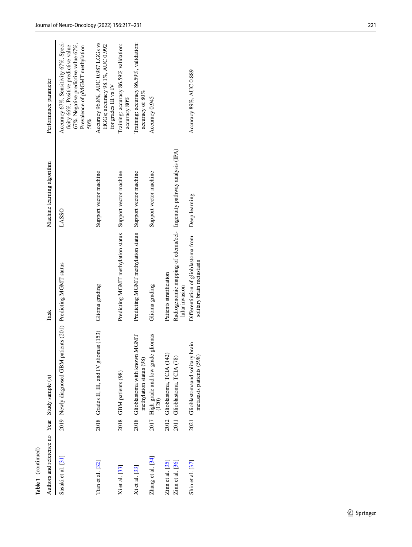| Table 1 (continued)                            |      |                                                                   |                                                                                       |                            |                                                                                                                                                                    |
|------------------------------------------------|------|-------------------------------------------------------------------|---------------------------------------------------------------------------------------|----------------------------|--------------------------------------------------------------------------------------------------------------------------------------------------------------------|
| Authors and reference no Year Study sample (n) |      |                                                                   | Task                                                                                  | Machine learning algorithm | Performance parameter                                                                                                                                              |
| Sasaki et al. [31]                             |      | 2019 Newly diagnosed GBM patients (201) Predicting MGMT status    |                                                                                       | <b>LASSO</b>               | Accuracy 67%, Sensitivity 67%, Speci-<br>67%, Negative predictive value 67%,<br>ficity 66%, Positive predictive value<br>Prevalence of pMGMT methylation<br>$50\%$ |
| Tian et al. $[32]$                             |      | 2018 Grades II, III, and IV gliomas (153)                         | Glioma grading                                                                        | Support vector machine     | Accuracy 96.8%, AUC 0.987 LGGs vs<br>HGGs; accuracy 98.1%, AUC 0.992<br>for grades III vs IV                                                                       |
| Xi et al. [33]                                 |      | 2018 GBM patients (98)                                            | Predicting MGMT methylation status                                                    | Support vector machine     | Training: accuracy 86.59% validation:<br>accuracy 80%                                                                                                              |
| Xi et al. [33]                                 |      | IGMT<br>2018 Glioblastoma with known M<br>methylation status (98) | Predicting MGMT methylation status Support vector machine                             |                            | Training: accuracy 86.59%, validation:<br>accuracy of 80%                                                                                                          |
| Zhang et al. [34]                              | 2017 | High grade and low grade gliomas<br>(120)                         | Glioma grading                                                                        | Support vector machine     | Accuracy 0.945                                                                                                                                                     |
| $Zimnet$ al. $[35]$                            | 2012 | Glioblastoma, TCIA (142)                                          | Patients stratification                                                               |                            |                                                                                                                                                                    |
| Zinn et al. [36]                               | 2011 | Glioblastoma, TCIA (78)                                           | Radiogenomic mapping of edema/cel- Ingenuity pathway analysis (IPA)<br>lular invasion |                            |                                                                                                                                                                    |
| Shin et al. $[37]$                             |      | 2021 Glioblastomaand solitary brain<br>metasasis patients (598)   | Differentiation of glioblastoma from<br>solitary brain metastasis                     | Deep learning              | Accuracy 89%, AUC 0.889                                                                                                                                            |
|                                                |      |                                                                   |                                                                                       |                            |                                                                                                                                                                    |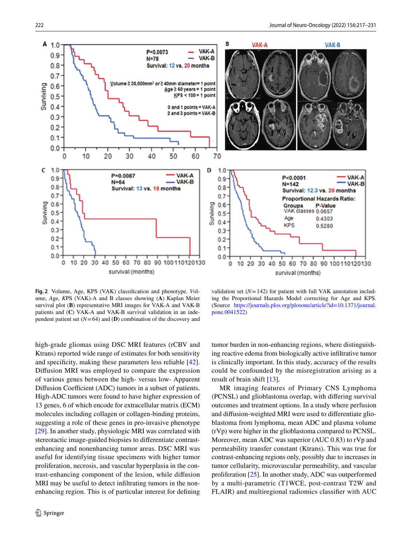

<span id="page-7-0"></span>**Fig. 2** Volume, Age, KPS (VAK) classifcation and phenotype. *V*olume, *A*ge, *K*PS (VAK)-A and B classes showing (**A**) Kaplan Meier survival plot (**B**) representative MRI images for VAK-A and VAK-B patients and (**C**) VAK-A and VAK-B survival validation in an independent patient set  $(N=64)$  and **(D)** combination of the discovery and

high-grade gliomas using DSC MRI features (rCBV and Ktrans) reported wide range of estimates for both sensitivity and specifcity, making these parameters less reliable [\[42](#page-15-3)]. Difusion MRI was employed to compare the expression of various genes between the high- versus low- Apparent Diffusion Coefficient (ADC) tumors in a subset of patients. High-ADC tumors were found to have higher expression of 13 genes, 6 of which encode for extracellular matrix (ECM) molecules including collagen or collagen-binding proteins, suggesting a role of these genes in pro-invasive phenotype [\[29](#page-14-28)]. In another study, physiologic MRI was correlated with stereotactic image-guided biopsies to diferentiate contrastenhancing and nonenhancing tumor areas. DSC MRI was useful for identifying tissue specimens with higher tumor proliferation, necrosis, and vascular hyperplasia in the contrast-enhancing component of the lesion, while difusion MRI may be useful to detect infltrating tumors in the nonenhancing region. This is of particular interest for defning

validation set  $(N=142)$  for patient with full VAK annotation including the Proportional Hazards Model correcting for Age and KPS. (Source [https://journals.plos.org/plosone/article?id=10.1371/journal.](https://journals.plos.org/plosone/article?id=10.1371/journal.pone.0041522) [pone.0041522\)](https://journals.plos.org/plosone/article?id=10.1371/journal.pone.0041522)

tumor burden in non-enhancing regions, where distinguishing reactive edema from biologically active infltrative tumor is clinically important. In this study, accuracy of the results could be confounded by the misregistration arising as a result of brain shift [\[13](#page-14-23)].

MR imaging features of Primary CNS Lymphoma (PCNSL) and glioblastoma overlap, with difering survival outcomes and treatment options. In a study where perfusion and difusion-weighted MRI were used to diferentiate glioblastoma from lymphoma, mean ADC and plasma volume (rVp) were higher in the glioblastoma compared to PCNSL. Moreover, mean ADC was superior (AUC 0.83) to rVp and permeability transfer constant (Ktrans). This was true for contrast-enhancing regions only, possibly due to increases in tumor cellularity, microvascular permeability, and vascular proliferation [[25\]](#page-14-26). In another study, ADC was outperformed by a multi-parametric (T1WCE, post-contrast T2W and FLAIR) and multiregional radiomics classifer with AUC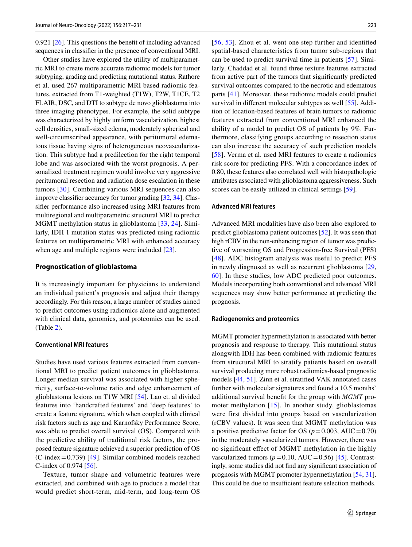0.921 [\[26](#page-14-27)]. This questions the beneft of including advanced sequences in classifer in the presence of conventional MRI.

Other studies have explored the utility of multiparametric MRI to create more accurate radiomic models for tumor subtyping, grading and predicting mutational status. Rathore et al. used 267 multiparametric MRI based radiomic features, extracted from T1-weighted (T1W), T2W, T1CE, T2 FLAIR, DSC, and DTI to subtype de novo glioblastoma into three imaging phenotypes. For example, the solid subtype was characterized by highly uniform vascularization, highest cell densities, small-sized edema, moderately spherical and well-circumscribed appearance, with peritumoral edematous tissue having signs of heterogeneous neovascularization. This subtype had a predilection for the right temporal lobe and was associated with the worst prognosis. A personalized treatment regimen would involve very aggressive peritumoral resection and radiation dose escalation in these tumors [[30](#page-14-7)]. Combining various MRI sequences can also improve classifer accuracy for tumor grading [[32,](#page-14-30) [34](#page-14-32)]. Classifer performance also increased using MRI features from multiregional and multiparametric structural MRI to predict MGMT methylation status in glioblastoma [[33](#page-14-31), [24\]](#page-14-25). Similarly, IDH 1 mutation status was predicted using radiomic features on multiparametric MRI with enhanced accuracy when age and multiple regions were included [\[23\]](#page-14-24).

#### **Prognostication of glioblastoma**

It is increasingly important for physicians to understand an individual patient's prognosis and adjust their therapy accordingly. For this reason, a large number of studies aimed to predict outcomes using radiomics alone and augmented with clinical data, genomics, and proteomics can be used. (Table [2\)](#page-9-0).

### **Conventional MRI features**

Studies have used various features extracted from conventional MRI to predict patient outcomes in glioblastoma. Longer median survival was associated with higher sphericity, surface-to-volume ratio and edge enhancement of glioblastoma lesions on T1W MRI [[54\]](#page-15-4). Lao et. al divided features into 'handcrafted features' and 'deep features' to create a feature signature, which when coupled with clinical risk factors such as age and Karnofsky Performance Score, was able to predict overall survival (OS). Compared with the predictive ability of traditional risk factors, the proposed feature signature achieved a superior prediction of OS  $(C$ -index = 0.739) [[49\]](#page-15-5). Similar combined models reached C-index of 0.974 [\[56](#page-15-6)].

Texture, tumor shape and volumetric features were extracted, and combined with age to produce a model that would predict short-term, mid-term, and long-term OS [[56,](#page-15-6) [53](#page-15-7)]. Zhou et al. went one step further and identifed spatial-based characteristics from tumor sub-regions that can be used to predict survival time in patients [[57\]](#page-15-8). Similarly, Chaddad et al. found three texture features extracted from active part of the tumors that signifcantly predicted survival outcomes compared to the necrotic and edematous parts [\[41\]](#page-15-2). Moreover, these radiomic models could predict survival in diferent molecular subtypes as well [\[55\]](#page-15-9). Addition of location-based features of brain tumors to radiomic features extracted from conventional MRI enhanced the ability of a model to predict OS of patients by 9%. Furthermore, classifying groups according to resection status can also increase the accuracy of such prediction models [[58\]](#page-15-10). Verma et al. used MRI features to create a radiomics risk score for predicting PFS. With a concordance index of 0.80, these features also correlated well with histopathologic attributes associated with glioblastoma aggressiveness. Such scores can be easily utilized in clinical settings [\[59](#page-15-11)].

## **Advanced MRI features**

Advanced MRI modalities have also been also explored to predict glioblastoma patient outcomes [[52\]](#page-15-12). It was seen that high rCBV in the non-enhancing region of tumor was predictive of worsening OS and Progression-free Survival (PFS) [[48](#page-15-13)]. ADC histogram analysis was useful to predict PFS in newly diagnosed as well as recurrent glioblastoma [[29,](#page-14-28) [60](#page-15-14)]. In these studies, low ADC predicted poor outcomes. Models incorporating both conventional and advanced MRI sequences may show better performance at predicting the prognosis.

#### **Radiogenomics and proteomics**

MGMT promoter hypermethylation is associated with better prognosis and response to therapy. This mutational status alongwith IDH has been combined with radiomic features from structural MRI to stratify patients based on overall survival producing more robust radiomics-based prognostic models [\[44](#page-15-15), [51\]](#page-15-16). Zinn et al. stratifed VAK annotated cases further with molecular signatures and found a 10.5 months' additional survival beneft for the group with *MGMT* promoter methylation  $[15]$  $[15]$  $[15]$ . In another study, glioblastomas were first divided into groups based on vascularization (rCBV values). It was seen that MGMT methylation was a positive predictive factor for OS ( $p = 0.003$ , AUC=0.70) in the moderately vascularized tumors. However, there was no signifcant efect of MGMT methylation in the highly vascularized tumors ( $p = 0.10$ , AUC $= 0.56$ ) [\[45](#page-15-17)]. Contrastingly, some studies did not fnd any signifcant association of prognosis with MGMT promoter hypermethylation [[54,](#page-15-4) [31](#page-14-29)]. This could be due to insufficient feature selection methods.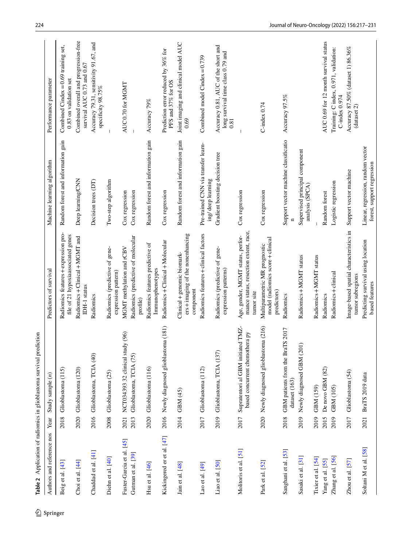<span id="page-9-0"></span>

| Springer |                            |      | Table 2 Application of radiomics in glioblastoma survival prediction |                                                                                          |                                                                 |                                                                                  |
|----------|----------------------------|------|----------------------------------------------------------------------|------------------------------------------------------------------------------------------|-----------------------------------------------------------------|----------------------------------------------------------------------------------|
|          | Authors and reference nos  | Year | Study sample $(n)$                                                   | Predictors of survival                                                                   | Machine learning algorithm                                      | Performance parameter                                                            |
|          | Beig et al. [43]           | 2018 | Glioblastoma (115)                                                   | Radiomics features + expression pro-<br>file of 21 hypoxiaassociated genes               | Random forest and information gain                              | Combined Cindex = $0.69$ training set,<br>0.83 on validation set                 |
|          | Choi et al. $[44]$         | 2020 | Glioblastoma (120)                                                   | Radiomics + Clinical + MGMT and<br>IDH-1 status                                          | Deep learning/CNN                                               | Combined overall and progression-free<br>survival AUC 0.73 and 0.67              |
|          | Chaddad et al. [41]        | 2016 | Glioblastoma, TCIA (40)                                              | Radiomics                                                                                | Decision trees (DT)                                             | Accuracy 79.31, sensitivity 91.67, and<br>specificity 98.75%                     |
|          | Diehn et al. [40]          | 2008 | Glioblastoma (25)                                                    | Radiomics (predictive of gene-<br>expression pattern)                                    | Two-step algorithm                                              |                                                                                  |
|          | Fuster-Garcia et al. [45]  | 2021 | NCT034393 32 clinical study (96)                                     | MGMT methylation and rCBV                                                                | Cox regression                                                  | AUC0.70 for MGMT                                                                 |
|          | Gutman et al. [39]         | 2013 | Glioblastoma, TCIA (75)                                              | Radiomics (predictive of molecular<br>profile)                                           | Cox regression                                                  |                                                                                  |
|          | Hsu et al. $[46]$          | 2020 | Glioblastoma (116)                                                   | Radiomics features predictive of<br>Immunophenotypes                                     | Random forest and information gain                              | Accuracy 79%                                                                     |
|          | Kickingered er et al. [47] | 2016 | Newly diagnosed glioblastoma (181)                                   | Radiomics + Clinical + Molecular                                                         | Cox regression                                                  | Prediction error reduced by 36% for<br>PFS and 37% for OS                        |
|          | Jain et al. [48]           | 2014 | GBM (45)                                                             | ers+imaging of the nonenhancing<br>Clinical + genomic biomark-<br>component              | Random forest and information gain                              | Joint imaging and clinical model AUC<br>0.69                                     |
|          | Lao et al. [49]            | 2017 | Glioblastoma (112)                                                   | Radiomics features + clinical factors                                                    | Pre-trained CNN via transfer learn-<br>ing/deep learning        | Combined model Cindex = $0.739$                                                  |
|          | Liao et al. [50]           | 2019 | Glioblastoma, TCIA (137)                                             | Radiomics (predictive of gene-<br>expression patterns)                                   | Gradient boosting decision tree                                 | Accuracy 0.81, AUC of the short and<br>long survival time class 0.79 and<br>0.81 |
|          | Molitoris et al. [51]      | 2017 | Supratentori al GBM initiated TMZ-<br>based concurrent chemothera py | mance status, resection extent, race,<br>Age, gender, MGMT status, perfor-<br>tumor site | Cox regression                                                  |                                                                                  |
|          | Park et al. [52]           | 2020 | Newly diagnosed glioblastoma (216)                                   | model (radiomics score+clinical<br>Multiparametric MR prognostic<br>predictors)          | Cox regression                                                  | $C$ -index $0.74$                                                                |
|          | Sanghani et al. [53]       | 2018 | GBM patients from the BraTS 2017<br>dataset (163)                    | Radiomics                                                                                | Support vector machine classificatio<br>Ξ                       | Accuracy 97.5%                                                                   |
|          | Sasaki et al. [31]         | 2019 | $\hat{\Pi}$<br>Newly diagnosed GBM (20                               | Radiomics + MGMT status                                                                  | Supervised principal component<br>analysis (SPCA)               |                                                                                  |
|          | Tixier et al. [54]         | 2019 | GBM (159)                                                            | Radiomics+MGMT status                                                                    |                                                                 |                                                                                  |
|          | Yang et al. [55]           | 2015 | De novo GBM (82)                                                     | Radiomics                                                                                | Random forest                                                   | AUC 0.69 for 12 month survival status                                            |
|          | Zhang et al. [56]          | 2019 | GBM (105)                                                            | Radiomics+clinical                                                                       | Logistic regression                                             | Training: C index, 0.971, validation:<br>$C$ -index $0.974$                      |
|          | Zhou et al. $[57]$         | 2017 | Glioblastoma (54)                                                    | Image-based spatial characteristics in<br>tumor subregions                               | Support vector machine                                          | Accuracy 87.50% (dataset 1) 86.36%<br>(dataset 2)                                |
|          | Soltani M et al. [58]      | 2021 | BraTS 2019 data                                                      | Predicting survival using location<br>based features                                     | Linear, regression, random vector<br>forest, support regression |                                                                                  |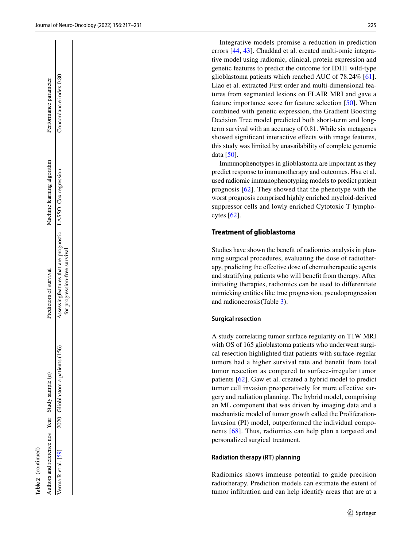Integrative models promise a reduction in prediction errors [\[44](#page-15-15), [43\]](#page-15-18). Chaddad et al. created multi-omic integra tive model using radiomic, clinical, protein expression and genetic features to predict the outcome for IDH1 wild-type glioblastoma patients which reached AUC of 78.24% [\[61](#page-15-22)]. Liao et al. extracted First order and multi-dimensional fea tures from segmented lesions on FLAIR MRI and gave a feature importance score for feature selection [[50\]](#page-15-21). When combined with genetic expression, the Gradient Boosting Decision Tree model predicted both short-term and longterm survival with an accuracy of 0.81. While six metagenes showed significant interactive effects with image features, this study was limited by unavailability of complete genomic data [[50](#page-15-21)].

Immunophenotypes in glioblastoma are important as they predict response to immunotherapy and outcomes. Hsu et al. used radiomic immunophenotyping models to predict patient prognosis [[62\]](#page-15-23). They showed that the phenotype with the worst prognosis comprised highly enriched myeloid-derived suppressor cells and lowly enriched Cytotoxic T lympho cytes [[62\]](#page-15-23).

## **Treatment of glioblastoma**

Studies have shown the beneft of radiomics analysis in plan ning surgical procedures, evaluating the dose of radiother apy, predicting the efective dose of chemotherapeutic agents and stratifying patients who will beneft from therapy. After initiating therapies, radiomics can be used to diferentiate mimicking entities like true progression, pseudoprogression and radionecrosis(Table [3\)](#page-11-0).

#### **Surgical resection**

A study correlating tumor surface regularity on T1W MRI with OS of 165 glioblastoma patients who underwent surgical resection highlighted that patients with surface-regular tumors had a higher survival rate and beneft from total tumor resection as compared to surface-irregular tumor patients [\[62](#page-15-23)]. Gaw et al. created a hybrid model to predict tumor cell invasion preoperatively for more effective surgery and radiation planning. The hybrid model, comprising an ML component that was driven by imaging data and a mechanistic model of tumor growth called the Proliferation-Invasion (PI) model, outperformed the individual components [[68](#page-15-24)]. Thus, radiomics can help plan a targeted and personalized surgical treatment.

### **Radiation therapy (RT) planning**

Radiomics shows immense potential to guide precision radiotherapy. Prediction models can estimate the extent of tumor infltration and can help identify areas that are at a

| ť |
|---|
|   |

Authors and reference nos

Authors and reference nos Year Study sample (*n*) Predictors of survival Machine learning algorithm Performance parameter

Predictors of survival

Machine learning algorithm LASSO, Cox regression

for progression-free survival

Assessingfeatures that are prognostic for progression-free survival

LASSO, Cox regression Concordanc e index 0.80

Concordance index 0.80 Performance parameter

Verma R et al. [\[59](#page-15-11)] 2020 Glioblastom a patients (156) Assessingfeatures that are prognostic

Glioblastom a patients (156)

2020 Year

Verma R et al. [59]

Study sample  $(n)$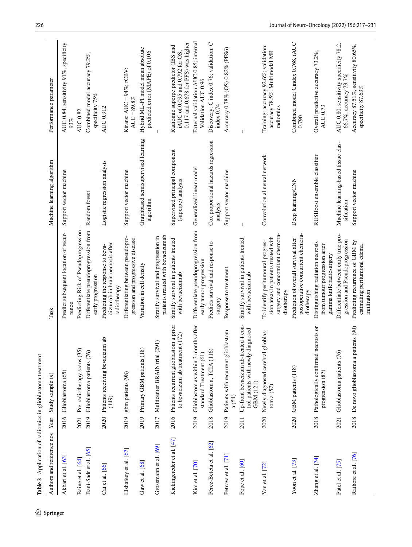<span id="page-11-0"></span>

| Authors and reference nos | Year | Study sample $(n)$                                                                      | Task                                                                                                                       | Machine learning algorithm                           | Performance parameter                                                                                             |
|---------------------------|------|-----------------------------------------------------------------------------------------|----------------------------------------------------------------------------------------------------------------------------|------------------------------------------------------|-------------------------------------------------------------------------------------------------------------------|
| Akbari et al. [63]        |      | 2016 Glioblastoma (65)                                                                  | Predict subsequent location of recur-<br>rence                                                                             | Support vector machine                               | AUC 0.84, sensitivity 91%, specificity<br>93%                                                                     |
| Baine et al. [64]         | 2021 | Pre-radiotherapy scans (35                                                              | Predicting Risk of Pseudoprogression                                                                                       |                                                      | <b>AUC 0.82</b>                                                                                                   |
| Bani-Sadr et al. [65]     | 2019 | Glioblastoma patients (76)                                                              | Differentiate pseudoprogression from<br>early progression                                                                  | Random forest                                        | Combined model accuracy 79.2%,<br>specificity 75%                                                                 |
| $Cai$ et al. $[66]$       | 2020 | um ab<br>Patients receiving bevacizu<br>(149)                                           | cizumab in brain necrosis after<br>Predicting the response to beva-<br>radiotherapy                                        | Logistic regression analysis                         | AUC 0.912                                                                                                         |
| Elshafeey et al. [67]     | 2019 | gbm patients (98)                                                                       | Differentiating between pseudopro-<br>gression and progressive disease                                                     | Support vector machine                               | Ktrans: $AUC = 94\%$ ; rCBV:<br>$AUC = 89.8%$                                                                     |
| Gaw et al. $[68]$         | 2019 | Primary GBM patients (18)                                                               | Variation in cell density                                                                                                  | Graphbased semisupervised learning<br>algorithm      | Hybrid ML-PI model mean absolute<br>predicted error (MAPE) of 0.106                                               |
| Grossmann et al. [69]     | 2017 | Multicenter BRAIN trial (291)                                                           | patients treated with bevacizumab<br>Stratify survival and progression in                                                  |                                                      |                                                                                                                   |
| Kickingereder et al. [47] | 2016 | Patients recurrent glioblastom a prior<br>to bevacizum ab treatment (172)               | Stratify survival in patients treated<br>with bevacizumab                                                                  | Supervised principal component<br>(superpc) analysis | $0.117$ and $0.678$ for PFS) was higher<br>Radiomic superpc predictor (IBS and<br>iAUC of 0.095 and 0.792 for OS; |
| Kim et al. [70]           | 2019 | Glioblastom as within 3 months after<br>standard Treatment (61)                         | Differentiate pseudoprogression from<br>early tumor progression                                                            | Generalized linear model                             | External validation AUC 0.85; internal<br>Validation AUC 0.96                                                     |
| Pérez-Beteta et al. [62]  | 2018 | Glioblastom a, TCIA (116)                                                               | Predicts survival and response to<br>surgery                                                                               | Cox proportional hazards regression<br>analysis      | Discovery: C index 0.76; validation: C<br>index $0.74$                                                            |
| Petrova et al. [71]       | 2019 | Patients with recurrent glioblastom<br>a (54)                                           | Response to treatment                                                                                                      | Support vector machine                               | Accuracy 0.78% (OS) 0.82% (PFS6)                                                                                  |
| Pope et al. [60]          | 2011 | Up-front bevacizum ab-treated + con-<br>trol patients with newly diagnosed<br>GBM (121) | Stratify survival in patients treated<br>with bevacizumab                                                                  |                                                      |                                                                                                                   |
| Yan et al. $[72]$         | 2020 | glioblas-<br>Newly diagnosed cerebral<br>tom a $(57)$                                   | surgery and concomitant chemora-<br>sion areas in patients treated with<br>To identify peritumoural progres-<br>diotherapy | Convolution al neural network                        | Training: accuracy 92.6%; validation:<br>accuracy 78.5%. Multimodal MR<br>radiomics                               |
| Yoon et al. $[73]$        |      | 2020 GBM patients (118)                                                                 | postoperative concurrent chemora-<br>Prediction of overall survival after<br>diotherapy                                    | Deep learning/CNN                                    | Combined model Cindex 0.768, iAUC<br>0.790                                                                        |
| Zhang et al. [74]         | 2018 | Pathologically confirmed necrosis or<br>progression (87)                                | Distinguishing radiation necrosis<br>from tumour progression after<br>gamma knife radiosurgery                             | RUSBoost ensemble classifier                         | Overall predictive accuracy 73.2%;<br><b>AUC 0.73</b>                                                             |
| Patel et al. [75]         | 2021 | Glioblastoma patients (76)                                                              | Differentiate between early true pro-<br>gression and Pseudoprogression                                                    | Machine learning-based tissue clas-<br>sification    | AUC 0.80, sensitivity specificity 78.2,<br>66.7%, ассигасу 73.7%                                                  |
| Rathore et al. [76]       | 2018 | De novo glioblastoma a patients (90)                                                    | Predicting recurrence of GBM by<br>estimating peritumoral edema<br>infiltration                                            | Support vector machine                               | Accuracy 87.51%, sensitivity 80.65%,<br>specificity 87.63%                                                        |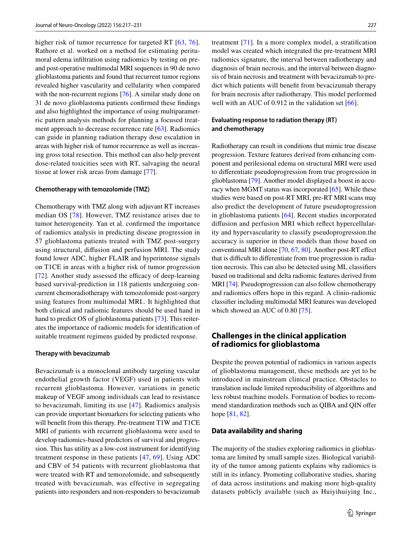higher risk of tumor recurrence for targeted RT [[63](#page-15-25), [76](#page-16-5)]. Rathore et al. worked on a method for estimating peritumoral edema infltration using radiomics by testing on preand post-operative multimodal MRI sequences in 90 de novo glioblastoma patients and found that recurrent tumor regions revealed higher vascularity and cellularity when compared with the non-recurrent regions [[76\]](#page-16-5). A similar study done on 31 de novo glioblastoma patients confrmed these fndings and also highlighted the importance of using multiparametric pattern analysis methods for planning a focused treatment approach to decrease recurrence rate [\[63\]](#page-15-25). Radiomics can guide in planning radiation therapy dose escalation in areas with higher risk of tumor recurrence as well as increasing gross total resection. This method can also help prevent dose-related toxicities seen with RT, salvaging the neural tissue at lower risk areas from damage [\[77](#page-16-6)].

#### **Chemotherapy with temozolomide (TMZ)**

Chemotherapy with TMZ along with adjuvant RT increases median OS [\[78\]](#page-16-7). However, TMZ resistance arises due to tumor heterogeneity. Yan et al. confrmed the importance of radiomics analysis in predicting disease progression in 57 glioblastoma patients treated with TMZ post-surgery using structural, difusion and perfusion MRI. The study found lower ADC, higher FLAIR and hyperintense signals on T1CE in areas with a higher risk of tumor progression [ $72$ ]. Another study assessed the efficacy of deep-learning based survival-prediction in 118 patients undergoing concurrent chemoradiotherapy with temozolomide post-surgery using features from multimodal MRI.. It highlighted that both clinical and radiomic features should be used hand in hand to predict OS of glioblastoma patients [\[73](#page-16-2)]. This reiterates the importance of radiomic models for identifcation of suitable treatment regimens guided by predicted response.

#### **Therapy with bevacizumab**

Bevacizumab is a monoclonal antibody targeting vascular endothelial growth factor (VEGF) used in patients with recurrent glioblastoma. However, variations in genetic makeup of VEGF among individuals can lead to resistance to bevacizumab, limiting its use [[47](#page-15-20)]. Radiomics analysis can provide important biomarkers for selecting patients who will benefit from this therapy. Pre-treatment T1W and T1CE MRI of patients with recurrent glioblastoma were used to develop radiomics-based predictors of survival and progression. This has utility as a low-cost instrument for identifying treatment response in these patients [\[47,](#page-15-20) [69](#page-15-30)]. Using ADC and CBV of 54 patients with recurrent glioblastoma that were treated with RT and temozolomide, and subsequently treated with bevacizumab, was effective in segregating patients into responders and non-responders to bevacizumab

treatment [[71](#page-16-0)]. In a more complex model, a stratifcation model was created which integrated the pre-treatment MRI radiomics signature, the interval between radiotherapy and diagnosis of brain necrosis, and the interval between diagnosis of brain necrosis and treatment with bevacizumab to predict which patients will beneft from bevacizumab therapy for brain necrosis after radiotherapy. This model performed well with an AUC of 0.912 in the validation set [\[66\]](#page-15-28).

## **Evaluating response to radiation therapy (RT) and chemotherapy**

Radiotherapy can result in conditions that mimic true disease progression. Texture features derived from enhancing component and perilesional edema on structural MRI were used to diferentiate pseudoprogression from true progression in glioblastoma [[79\]](#page-16-8). Another model displayed a boost in accu-racy when MGMT status was incorporated [[65\]](#page-15-27). While these studies were based on post-RT MRI, pre-RT MRI scans may also predict the development of future pseudoprogression in glioblastoma patients [[64\]](#page-15-26). Recent studies incorporated difusion and perfusion MRI which refect hypercellularity and hypervascularity to classify pseudoprogression.the accuracy is superior in these models than those based on conventional MRI alone [[70](#page-15-31), [67](#page-15-29), [80\]](#page-16-9). Another post-RT efect that is difficult to differentiate from true progression is radiation necrosis. This can also be detected using ML classifers based on traditional and delta radiomic features derived from MRI [[74](#page-16-3)]. Pseudoprogression can also follow chemotherapy and radiomics offers hope in this regard. A clinio-radiomic classifer including multimodal MRI features was developed which showed an AUC of 0.80 [[75\]](#page-16-4).

# **Challenges in the clinical application of radiomics for glioblastoma**

Despite the proven potential of radiomics in various aspects of glioblastoma management, these methods are yet to be introduced in mainstream clinical practice. Obstacles to translation include limited reproducibility of algorithms and less robust machine models. Formation of bodies to recommend standardization methods such as QIBA and QIN offer hope [[81,](#page-16-10) [82\]](#page-16-11).

## **Data availability and sharing**

The majority of the studies exploring radiomics in glioblastoma are limited by small sample sizes. Biological variability of the tumor among patients explains why radiomics is still in its infancy. Promoting collaborative studies, sharing of data across institutions and making more high-quality datasets publicly available (such as Huiyihuiying Inc.,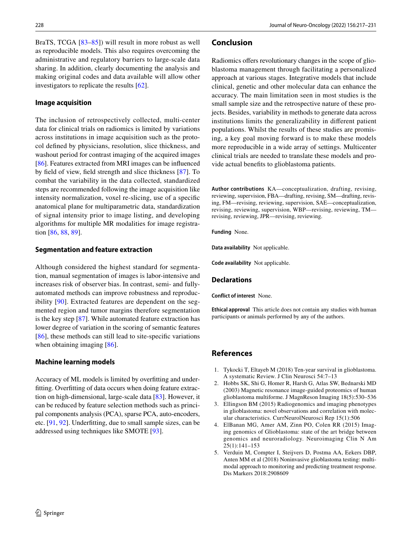BraTS, TCGA [[83](#page-16-12)[–85\]](#page-16-13)) will result in more robust as well as reproducible models. This also requires overcoming the administrative and regulatory barriers to large-scale data sharing. In addition, clearly documenting the analysis and making original codes and data available will allow other investigators to replicate the results [\[62](#page-15-23)].

## **Image acquisition**

The inclusion of retrospectively collected, multi-center data for clinical trials on radiomics is limited by variations across institutions in image acquisition such as the protocol defned by physicians, resolution, slice thickness, and washout period for contrast imaging of the acquired images [\[86](#page-16-14)]. Features extracted from MRI images can be infuenced by feld of view, feld strength and slice thickness [\[87\]](#page-16-15). To combat the variability in the data collected, standardized steps are recommended following the image acquisition like intensity normalization, voxel re-slicing, use of a specifc anatomical plane for multiparametric data, standardization of signal intensity prior to image listing, and developing algorithms for multiple MR modalities for image registration [[86,](#page-16-14) [88,](#page-16-16) [89\]](#page-16-17).

## **Segmentation and feature extraction**

Although considered the highest standard for segmentation, manual segmentation of images is labor-intensive and increases risk of observer bias. In contrast, semi- and fullyautomated methods can improve robustness and reproducibility [[90](#page-16-18)]. Extracted features are dependent on the segmented region and tumor margins therefore segmentation is the key step [\[87](#page-16-15)]. While automated feature extraction has lower degree of variation in the scoring of semantic features [\[86\]](#page-16-14), these methods can still lead to site-specific variations when obtaining imaging [[86](#page-16-14)].

# **Machine learning models**

Accuracy of ML models is limited by overftting and underftting. Overftting of data occurs when doing feature extraction on high-dimensional, large-scale data [[83\]](#page-16-12). However, it can be reduced by feature selection methods such as principal components analysis (PCA), sparse PCA, auto-encoders, etc. [[91,](#page-16-19) [92\]](#page-16-20). Underftting, due to small sample sizes, can be addressed using techniques like SMOTE [\[93\]](#page-16-21).

# **Conclusion**

Radiomics offers revolutionary changes in the scope of glioblastoma management through facilitating a personalized approach at various stages. Integrative models that include clinical, genetic and other molecular data can enhance the accuracy. The main limitation seen in most studies is the small sample size and the retrospective nature of these projects. Besides, variability in methods to generate data across institutions limits the generalizability in diferent patient populations. Whilst the results of these studies are promising, a key goal moving forward is to make these models more reproducible in a wide array of settings. Multicenter clinical trials are needed to translate these models and provide actual benefts to glioblastoma patients.

**Author contributions** KA—conceptualization, drafting, revising, reviewing, supervision, FBA—drafting, revising, SM—drafting, revising, FM—revising, reviewing, supervision, SAE—conceptualization, revising, reviewing, supervision, WBP—revising, reviewing, TM revising, reviewing, JPR—revising, reviewing.

**Funding** None.

**Data availability** Not applicable.

**Code availability** Not applicable.

## **Declarations**

**Conflict of interest** None.

**Ethical approval** This article does not contain any studies with human participants or animals performed by any of the authors.

# **References**

- <span id="page-13-0"></span>1. Tykocki T, Eltayeb M (2018) Ten-year survival in glioblastoma. A systematic Review. J Clin Neurosci 54:7–13
- <span id="page-13-1"></span>2. Hobbs SK, Shi G, Homer R, Harsh G, Atlas SW, Bednarski MD (2003) Magnetic resonance image-guided proteomics of human glioblastoma multiforme. J MagnReson Imaging 18(5):530–536
- <span id="page-13-2"></span>3. Ellingson BM (2015) Radiogenomics and imaging phenotypes in glioblastoma: novel observations and correlation with molecular characteristics. CurrNeurolNeurosci Rep 15(1):506
- <span id="page-13-4"></span>4. ElBanan MG, Amer AM, Zinn PO, Colen RR (2015) Imaging genomics of Glioblastoma: state of the art bridge between genomics and neuroradiology. Neuroimaging Clin N Am 25(1):141–153
- <span id="page-13-3"></span>5. Verduin M, Compter I, Steijvers D, Postma AA, Eekers DBP, Anten MM et al (2018) Noninvasive glioblastoma testing: multimodal approach to monitoring and predicting treatment response. Dis Markers 2018:2908609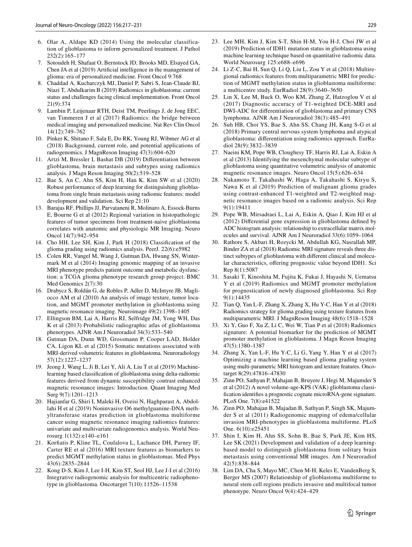- <span id="page-14-0"></span>6. Olar A, Aldape KD (2014) Using the molecular classification of glioblastoma to inform personalized treatment. J Pathol 232(2):165–177
- <span id="page-14-1"></span>7. Sotoudeh H, Shafaat O, Bernstock JD, Brooks MD, Elsayed GA, Chen JA et al (2019) Artifcial intelligence in the management of glioma: era of personalized medicine. Front Oncol 9:768
- <span id="page-14-2"></span>8. Chaddad A, Kucharczyk MJ, Daniel P, Sabri S, Jean-Claude BJ, Niazi T, Abdulkarim B (2019) Radiomics in glioblastoma: current status and challenges facing clinical implementation. Front Oncol 21(9):374
- <span id="page-14-3"></span>9. Lambin P, Leijenaar RTH, Deist TM, Peerlings J, de Jong EEC, van Timmeren J et al (2017) Radiomics: the bridge between medical imaging and personalized medicine. Nat Rev Clin Oncol 14(12):749–762
- <span id="page-14-4"></span>10. Pinker K, Shitano F, Sala E, Do RK, Young RJ, Wibmer AG et al (2018) Background, current role, and potential applications of radiogenomics. J MagnReson Imaging 47(3):604–620
- <span id="page-14-14"></span>11. Artzi M, Bressler I, Bashat DB (2019) Diferentiation between glioblastoma, brain metastasis and subtypes using radiomics analysis. J Magn Reson Imaging 50(2):519–528
- <span id="page-14-15"></span>12. Bae S, An C, Ahn SS, Kim H, Han K, Kim SW et al (2020) Robust performance of deep learning for distinguishing glioblastoma from single brain metastasis using radiomic features: model development and validation. Sci Rep 21:10
- <span id="page-14-23"></span>13. Barajas RF, Phillips JJ, Parvataneni R, Molinaro A, Essock-Burns E, Bourne G et al (2012) Regional variation in histopathologic features of tumor specimens from treatment-naive glioblastoma correlates with anatomic and physiologic MR Imaging. Neuro Oncol 14(7):942–954
- <span id="page-14-21"></span>14. Cho HH, Lee SH, Kim J, Park H (2018) Classifcation of the glioma grading using radiomics analysis. PeerJ. 22(6):e5982
- <span id="page-14-10"></span>15. Colen RR, Vangel M, Wang J, Gutman DA, Hwang SN, Wintermark M et al (2014) Imaging genomic mapping of an invasive MRI phenotype predicts patient outcome and metabolic dysfunction: a TCGA glioma phenotype research group project. BMC Med Genomics 2(7):30
- <span id="page-14-17"></span>16. Drabycz S, Roldán G, de Robles P, Adler D, McIntyre JB, Magliocco AM et al (2010) An analysis of image texture, tumor location, and MGMT promoter methylation in glioblastoma using magnetic resonance imaging. Neuroimage 49(2):1398–1405
- <span id="page-14-5"></span>17. Ellingson BM, Lai A, Harris RJ, Selfridge JM, Yong WH, Das K et al (2013) Probabilistic radiographic atlas of glioblastoma phenotypes. AJNR Am J Neuroradiol 34(3):533–540
- <span id="page-14-13"></span>18. Gutman DA, Dunn WD, Grossmann P, Cooper LAD, Holder CA, Ligon KL et al (2015) Somatic mutations associated with MRI-derived volumetric features in glioblastoma. Neuroradiology 57(12):1227–1237
- <span id="page-14-22"></span>19. Jeong J, Wang L, Ji B, Lei Y, Ali A, Liu T et al (2019) Machinelearning based classifcation of glioblastoma using delta-radiomic features derived from dynamic susceptibility contrast enhanced magnetic resonance images: Introduction. Quant Imaging Med Surg 9(7):1201–1213
- <span id="page-14-19"></span>20. Hajianfar G, Shiri I, Maleki H, Oveisi N, Haghparast A, Abdollahi H et al (2019) Noninvasive O6 methylguanine-DNA methyltransferase status prediction in glioblastoma multiforme cancer using magnetic resonance imaging radiomics features: univariate and multivariate radiogenomics analysis. World Neurosurg 1(132):e140–e161
- <span id="page-14-18"></span>21. Korfatis P, Kline TL, Coufalova L, Lachance DH, Parney IF, Carter RE et al (2016) MRI texture features as biomarkers to predict MGMT methylation status in glioblastomas. Med Phys 43(6):2835–2844
- <span id="page-14-8"></span>22. Kong D-S, Kim J, Lee I-H, Kim ST, Seol HJ, Lee J-I et al (2016) Integrative radiogenomic analysis for multicentric radiophenotype in glioblastoma. Oncotarget 7(10):11526–11538
- <span id="page-14-24"></span>23. Lee MH, Kim J, Kim S-T, Shin H-M, You H-J, Choi JW et al (2019) Prediction of IDH1 mutation status in glioblastoma using machine learning technique based on quantitative radiomic data. World Neurosurg 125:e688–e696
- <span id="page-14-25"></span>24. Li Z-C, Bai H, Sun Q, Li Q, Liu L, Zou Y et al (2018) Multiregional radiomics features from multiparametric MRI for prediction of MGMT methylation status in glioblastoma multiforme: a multicentre study. EurRadiol 28(9):3640–3650
- <span id="page-14-26"></span>25. Lin X, Lee M, Buck O, Woo KM, Zhang Z, Hatzoglou V et al (2017) Diagnostic accuracy of T1-weighted DCE-MRI and DWI-ADC for diferentiation of glioblastoma and primary CNS lymphoma. AJNR Am J Neuroradiol 38(3):485–491
- <span id="page-14-27"></span>26. Suh HB, Choi YS, Bae S, Ahn SS, Chang JH, Kang S-G et al (2018) Primary central nervous system lymphoma and atypical glioblastoma: diferentiation using radiomics approach. EurRadiol 28(9):3832–3839
- <span id="page-14-9"></span>27. Naeini KM, Pope WB, Cloughesy TF, Harris RJ, Lai A, Eskin A et al (2013) Identifying the mesenchymal molecular subtype of glioblastoma using quantitative volumetric analysis of anatomic magnetic resonance images. Neuro Oncol 15(5):626–634
- <span id="page-14-20"></span>28. Nakamoto T, Takahashi W, Haga A, Takahashi S, Kiryu S, Nawa K et al (2019) Prediction of malignant glioma grades using contrast-enhanced T1-weighted and T2-weighted magnetic resonance images based on a radiomic analysis. Sci Rep 9(1):19411
- <span id="page-14-28"></span>29. Pope WB, Mirsadraei L, Lai A, Eskin A, Qiao J, Kim HJ et al (2012) Diferential gene expression in glioblastoma defned by ADC histogram analysis: relationship to extracellular matrix molecules and survival. AJNR Am J Neuroradiol 33(6):1059–1064
- <span id="page-14-7"></span>30. Rathore S, Akbari H, Rozycki M, Abdullah KG, Nasrallah MP, Binder ZA et al (2018) Radiomic MRI signature reveals three distinct subtypes of glioblastoma with diferent clinical and molecular characteristics, offering prognostic value beyond IDH1. Sci Rep 8(1):5087
- <span id="page-14-29"></span>31. Sasaki T, Kinoshita M, Fujita K, Fukai J, Hayashi N, Uematsu Y et al (2019) Radiomics and MGMT promoter methylation for prognostication of newly diagnosed glioblastoma. Sci Rep 9(1):14435
- <span id="page-14-30"></span>32. Tian Q, Yan L-F, Zhang X, Zhang X, Hu Y-C, Han Y et al (2018) Radiomics strategy for glioma grading using texture features from multiparametric MRI. J MagnReson Imaging 48(6):1518–1528
- <span id="page-14-31"></span>33. Xi Y, Guo F, Xu Z, Li C, Wei W, Tian P et al (2018) Radiomics signature: A potential biomarker for the prediction of MGMT promoter methylation in glioblastoma. J Magn Reson Imaging 47(5):1380–1387
- <span id="page-14-32"></span>34. Zhang X, Yan L-F, Hu Y-C, Li G, Yang Y, Han Y et al (2017) Optimizing a machine learning based glioma grading system using multi-parametric MRI histogram and texture features. Oncotarget 8(29):47816–47830
- <span id="page-14-11"></span>35. Zinn PO, Sathyan P, Mahajan B, Bruyere J, Hegi M, Majumder S et al (2012) A novel volume-age-KPS (VAK) glioblastoma classifcation identifes a prognostic cognate microRNA-gene signature. PLoS One. 7(8):e41522
- <span id="page-14-12"></span>36. Zinn PO, Mahajan B, Majadan B, Sathyan P, Singh SK, Majumder S et al (2011) Radiogenomic mapping of edema/cellular invasion MRI-phenotypes in glioblastoma multiforme. PLoS One. 6(10):e25451
- <span id="page-14-16"></span>37. Shin I, Kim H, Ahn SS, Sohn B, Bae S, Park JE, Kim HS, Lee SK (2021) Development and validation of a deep learningbased model to distinguish glioblastoma from solitary brain metastasis using conventional MR images. Am J Neuroradiol 42(5):838–844
- <span id="page-14-6"></span>38. Lim DA, Cha S, Mayo MC, Chen M-H, Keles E, VandenBerg S, Berger MS (2007) Relationship of glioblastoma multiforme to neural stem cell regions predicts invasive and multifocal tumor phenotype. Neuro Oncol 9(4):424–429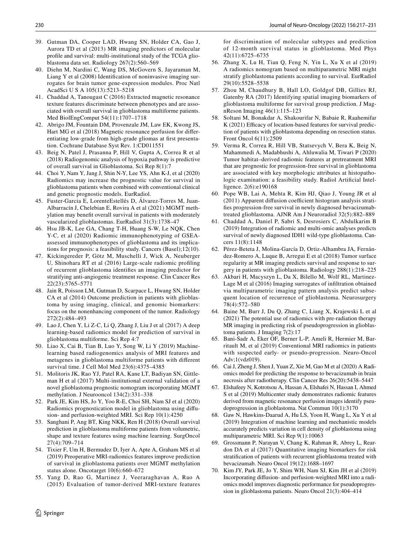- <span id="page-15-0"></span>39. Gutman DA, Cooper LAD, Hwang SN, Holder CA, Gao J, Aurora TD et al (2013) MR imaging predictors of molecular profle and survival: multi-institutional study of the TCGA glioblastoma data set. Radiology 267(2):560–569
- <span id="page-15-1"></span>40. Diehn M, Nardini C, Wang DS, McGovern S, Jayaraman M, Liang Y et al (2008) Identifcation of noninvasive imaging surrogates for brain tumor gene-expression modules. Proc Natl AcadSci U S A 105(13):5213–5218
- <span id="page-15-2"></span>41. Chaddad A, Tanougast C (2016) Extracted magnetic resonance texture features discriminate between phenotypes and are associated with overall survival in glioblastoma multiforme patients. Med BiolEngComput 54(11):1707–1718
- <span id="page-15-3"></span>42. Abrigo JM, Fountain DM, Provenzale JM, Law EK, Kwong JS, Hart MG et al (2018) Magnetic resonance perfusion for diferentiating low-grade from high-grade gliomas at frst presentation. Cochrane Database Syst Rev. 1:CD011551
- <span id="page-15-18"></span>43. Beig N, Patel J, Prasanna P, Hill V, Gupta A, Correa R et al (2018) Radiogenomic analysis of hypoxia pathway is predictive of overall survival in Glioblastoma. Sci Rep 8(1):7
- <span id="page-15-15"></span>44. Choi Y, Nam Y, Jang J, Shin N-Y, Lee YS, Ahn K-J, et al (2020) Radiomics may increase the prognostic value for survival in glioblastoma patients when combined with conventional clinical and genetic prognostic models. EurRadiol.
- <span id="page-15-17"></span>45. Fuster-Garcia E, LorenteEstellés D, Álvarez-Torres M, Juan-Albarracín J, Chelebian E, Rovira A et al (2021) MGMT methylation may beneft overall survival in patients with moderately vascularized glioblastomas. EurRadiol 31(3):1738–47
- <span id="page-15-19"></span>46. Hsu JB-K, Lee GA, Chang T-H, Huang S-W, Le NQK, Chen Y-C, et al (2020) Radiomic immunophenotyping of GSEAassessed immunophenotypes of glioblastoma and its implications for prognosis: a feasibility study. Cancers (Basel);12(10).
- <span id="page-15-20"></span>47. Kickingereder P, Götz M, Muschelli J, Wick A, Neuberger U, Shinohara RT et al (2016) Large-scale radiomic profling of recurrent glioblastoma identifes an imaging predictor for stratifying anti-angiogenic treatment response. Clin Cancer Res 22(23):5765–5771
- <span id="page-15-13"></span>48. Jain R, Poisson LM, Gutman D, Scarpace L, Hwang SN, Holder CA et al (2014) Outcome prediction in patients with glioblastoma by using imaging, clinical, and genomic biomarkers: focus on the nonenhancing component of the tumor. Radiology 272(2):484–493
- <span id="page-15-5"></span>49. Lao J, Chen Y, Li Z-C, Li Q, Zhang J, Liu J et al (2017) A deep learning-based radiomics model for prediction of survival in glioblastoma multiforme. Sci Rep 4:7
- <span id="page-15-21"></span>50. Liao X, Cai B, Tian B, Luo Y, Song W, Li Y (2019) Machinelearning based radiogenomics analysis of MRI features and metagenes in glioblastoma multiforme patients with diferent survival time. J Cell Mol Med 23(6):4375–4385
- <span id="page-15-16"></span>51. Molitoris JK, Rao YJ, Patel RA, Kane LT, Badiyan SN, Gittleman H et al (2017) Multi-institutional external validation of a novel glioblastoma prognostic nomogram incorporating MGMT methylation. J Neurooncol 134(2):331–338
- <span id="page-15-12"></span>52. Park JE, Kim HS, Jo Y, Yoo R-E, Choi SH, Nam SJ et al (2020) Radiomics prognostication model in glioblastoma using difusion- and perfusion-weighted MRI. Sci Rep 10(1):4250
- <span id="page-15-7"></span>53. Sanghani P, Ang BT, King NKK, Ren H (2018) Overall survival prediction in glioblastoma multiforme patients from volumetric, shape and texture features using machine learning. SurgOncol 27(4):709–714
- <span id="page-15-4"></span>54. Tixier F, Um H, Bermudez D, Iyer A, Apte A, Graham MS et al (2019) Preoperative MRI-radiomics features improve prediction of survival in glioblastoma patients over MGMT methylation status alone. Oncotarget 10(6):660–672
- <span id="page-15-9"></span>55. Yang D, Rao G, Martinez J, Veeraraghavan A, Rao A (2015) Evaluation of tumor-derived MRI-texture features

for discrimination of molecular subtypes and prediction of 12-month survival status in glioblastoma. Med Phys 42(11):6725–6735

- <span id="page-15-6"></span>56. Zhang X, Lu H, Tian Q, Feng N, Yin L, Xu X et al (2019) A radiomics nomogram based on multiparametric MRI might stratify glioblastoma patients according to survival. EurRadiol 29(10):5528–5538
- <span id="page-15-8"></span>57. Zhou M, Chaudhury B, Hall LO, Goldgof DB, Gillies RJ, Gatenby RA (2017) Identifying spatial imaging biomarkers of glioblastoma multiforme for survival group prediction. J MagnReson Imaging 46(1):115–123
- <span id="page-15-10"></span>58. Soltani M, Bonakdar A, Shakourifar N, Babaie R, Raahemifar K (2021) Efficacy of location-based features for survival prediction of patients with glioblastoma depending on resection status. Front Oncol 6(11):2509
- <span id="page-15-11"></span>59. Verma R, Correa R, Hill VB, Statsevych V, Bera K, Beig N, Mahammedi A, Madabhushi A, Ahluwalia M, Tiwari P (2020) Tumor habitat–derived radiomic features at pretreatment MRI that are prognostic for progression-free survival in glioblastoma are associated with key morphologic attributes at histopathologic examination: a feasibility study. Radiol Artifcial Intelligence. 2(6):e190168
- <span id="page-15-14"></span>60. Pope WB, Lai A, Mehta R, Kim HJ, Qiao J, Young JR et al  $(2011)$  Apparent diffusion coefficient histogram analysis stratifes progression-free survival in newly diagnosed bevacizumabtreated glioblastoma. AJNR Am J Neuroradiol 32(5):882–889
- <span id="page-15-22"></span>61. Chaddad A, Daniel P, Sabri S, Desrosiers C, Abdulkarim B (2019) Integration of radiomic and multi-omic analyses predicts survival of newly diagnosed IDH1 wild-type glioblastoma. Cancers 11(8):1148
- <span id="page-15-23"></span>62. Pérez-Beteta J, Molina-García D, Ortiz-Alhambra JA, Fernández-Romero A, Luque B, Arregui E et al (2018) Tumor surface regularity at MR imaging predicts survival and response to surgery in patients with glioblastoma. Radiology 288(1):218–225
- <span id="page-15-25"></span>63. Akbari H, Macyszyn L, Da X, Bilello M, Wolf RL, Martinez-Lage M et al (2016) Imaging surrogates of infltration obtained via multiparametric imaging pattern analysis predict subsequent location of recurrence of glioblastoma. Neurosurgery 78(4):572–580
- <span id="page-15-26"></span>64. Baine M, Burr J, Du Q, Zhang C, Liang X, Krajewski L et al (2021) The potential use of radiomics with pre-radiation therapy MR imaging in predicting risk of pseudoprogression in glioblastoma patients. J Imaging 7(2):17
- <span id="page-15-27"></span>65. Bani-Sadr A, Eker OF, Berner L-P, Ameli R, Hermier M, Barritault M, et al (2019) Conventional MRI radiomics in patients with suspected early- or pseudo-progression. Neuro-Oncol Adv;1(vdz019).
- <span id="page-15-28"></span>66. Cai J, Zheng J, Shen J, Yuan Z, Xie M, Gao M et al (2020) A Radiomics model for predicting the response to bevacizumab in brain necrosis after radiotherapy. Clin Cancer Res 26(20):5438–5447
- <span id="page-15-29"></span>67. Elshafeey N, Kotrotsou A, Hassan A, Elshafei N, Hassan I, Ahmed S et al (2019) Multicenter study demonstrates radiomic features derived from magnetic resonance perfusion images identify pseudoprogression in glioblastoma. Nat Commun 10(1):3170
- <span id="page-15-24"></span>68. Gaw N, Hawkins-Daarud A, Hu LS, Yoon H, Wang L, Xu Y et al (2019) Integration of machine learning and mechanistic models accurately predicts variation in cell density of glioblastoma using multiparametric MRI. Sci Rep 9(1):10063
- <span id="page-15-30"></span>69. Grossmann P, Narayan V, Chang K, Rahman R, Abrey L, Reardon DA et al (2017) Quantitative imaging biomarkers for risk stratifcation of patients with recurrent glioblastoma treated with bevacizumab. Neuro Oncol 19(12):1688–1697
- <span id="page-15-31"></span>70. Kim JY, Park JE, Jo Y, Shim WH, Nam SJ, Kim JH et al (2019) Incorporating difusion- and perfusion-weighted MRI into a radiomics model improves diagnostic performance for pseudoprogression in glioblastoma patients. Neuro Oncol 21(3):404–414